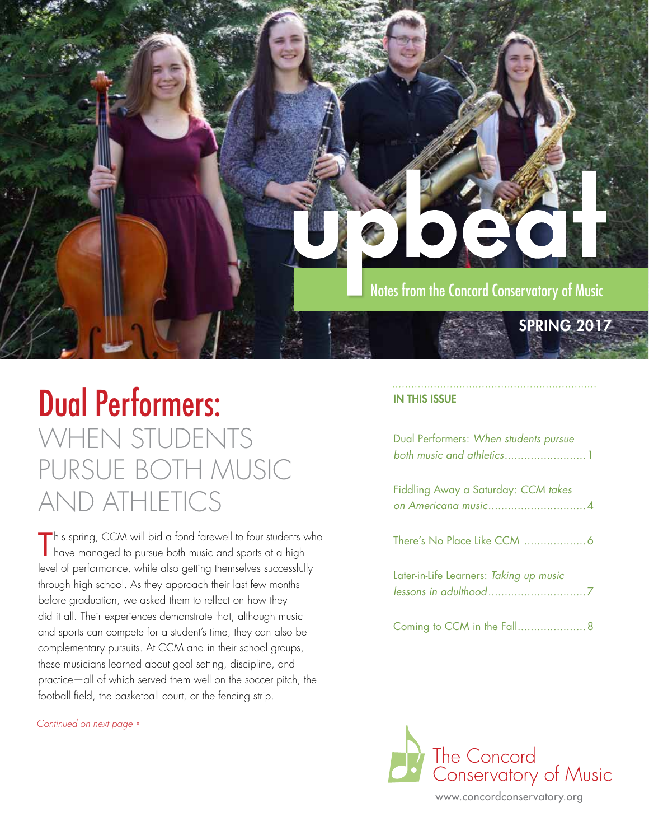

### Dual Performers: WHEN STUDENTS PURSUE BOTH MUSIC AND ATHLETICS

This spring, CCM will bid a fond farewell to four students v<br>Thave managed to pursue both music and sports at a high his spring, CCM will bid a fond farewell to four students who level of performance, while also getting themselves successfully through high school. As they approach their last few months before graduation, we asked them to reflect on how they did it all. Their experiences demonstrate that, although music and sports can compete for a student's time, they can also be complementary pursuits. At CCM and in their school groups, these musicians learned about goal setting, discipline, and practice—all of which served them well on the soccer pitch, the football field, the basketball court, or the fencing strip.

*Continued on next page »* 

#### IN THIS ISSUE

| Dual Performers: When students pursue   |
|-----------------------------------------|
| Fiddling Away a Saturday: CCM takes     |
|                                         |
| Later-in-Life Learners: Taking up music |
|                                         |



www.concordconservatory.org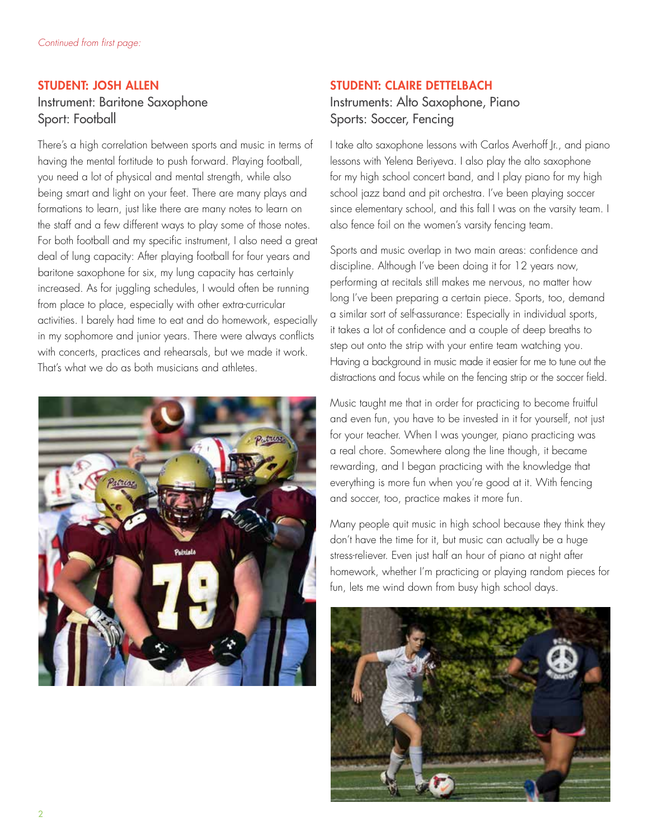### STUDENT: JOSH ALLEN Instrument: Baritone Saxophone Sport: Football

There's a high correlation between sports and music in terms of having the mental fortitude to push forward. Playing football, you need a lot of physical and mental strength, while also being smart and light on your feet. There are many plays and formations to learn, just like there are many notes to learn on the staff and a few different ways to play some of those notes. For both football and my specific instrument, I also need a great deal of lung capacity: After playing football for four years and baritone saxophone for six, my lung capacity has certainly increased. As for juggling schedules, I would often be running from place to place, especially with other extra-curricular activities. I barely had time to eat and do homework, especially in my sophomore and junior years. There were always conflicts with concerts, practices and rehearsals, but we made it work. That's what we do as both musicians and athletes.



### STUDENT: CLAIRE DETTELBACH

### Instruments: Alto Saxophone, Piano Sports: Soccer, Fencing

I take alto saxophone lessons with Carlos Averhoff Jr., and piano lessons with Yelena Beriyeva. I also play the alto saxophone for my high school concert band, and I play piano for my high school jazz band and pit orchestra. I've been playing soccer since elementary school, and this fall I was on the varsity team. I also fence foil on the women's varsity fencing team.

Sports and music overlap in two main areas: confidence and discipline. Although I've been doing it for 12 years now, performing at recitals still makes me nervous, no matter how long I've been preparing a certain piece. Sports, too, demand a similar sort of self-assurance: Especially in individual sports, it takes a lot of confidence and a couple of deep breaths to step out onto the strip with your entire team watching you. Having a background in music made it easier for me to tune out the distractions and focus while on the fencing strip or the soccer field.

Music taught me that in order for practicing to become fruitful and even fun, you have to be invested in it for yourself, not just for your teacher. When I was younger, piano practicing was a real chore. Somewhere along the line though, it became rewarding, and I began practicing with the knowledge that everything is more fun when you're good at it. With fencing and soccer, too, practice makes it more fun.

Many people quit music in high school because they think they don't have the time for it, but music can actually be a huge stress-reliever. Even just half an hour of piano at night after homework, whether I'm practicing or playing random pieces for fun, lets me wind down from busy high school days.

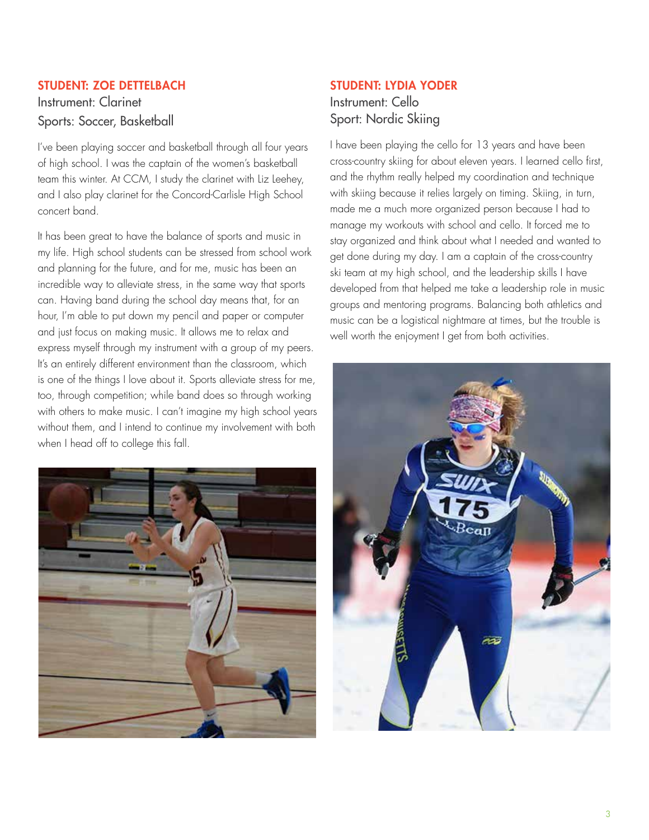### STUDENT: ZOE DETTELBACH

Instrument: Clarinet Sports: Soccer, Basketball

I've been playing soccer and basketball through all four years of high school. I was the captain of the women's basketball team this winter. At CCM, I study the clarinet with Liz Leehey, and I also play clarinet for the Concord-Carlisle High School concert band.

It has been great to have the balance of sports and music in my life. High school students can be stressed from school work and planning for the future, and for me, music has been an incredible way to alleviate stress, in the same way that sports can. Having band during the school day means that, for an hour, I'm able to put down my pencil and paper or computer and just focus on making music. It allows me to relax and express myself through my instrument with a group of my peers. It's an entirely different environment than the classroom, which is one of the things I love about it. Sports alleviate stress for me, too, through competition; while band does so through working with others to make music. I can't imagine my high school years without them, and I intend to continue my involvement with both when I head off to college this fall.



### STUDENT: LYDIA YODER

Instrument: Cello Sport: Nordic Skiing

I have been playing the cello for 13 years and have been cross-country skiing for about eleven years. I learned cello first, and the rhythm really helped my coordination and technique with skiing because it relies largely on timing. Skiing, in turn, made me a much more organized person because I had to manage my workouts with school and cello. It forced me to stay organized and think about what I needed and wanted to get done during my day. I am a captain of the cross-country ski team at my high school, and the leadership skills I have developed from that helped me take a leadership role in music groups and mentoring programs. Balancing both athletics and music can be a logistical nightmare at times, but the trouble is well worth the enjoyment I get from both activities.

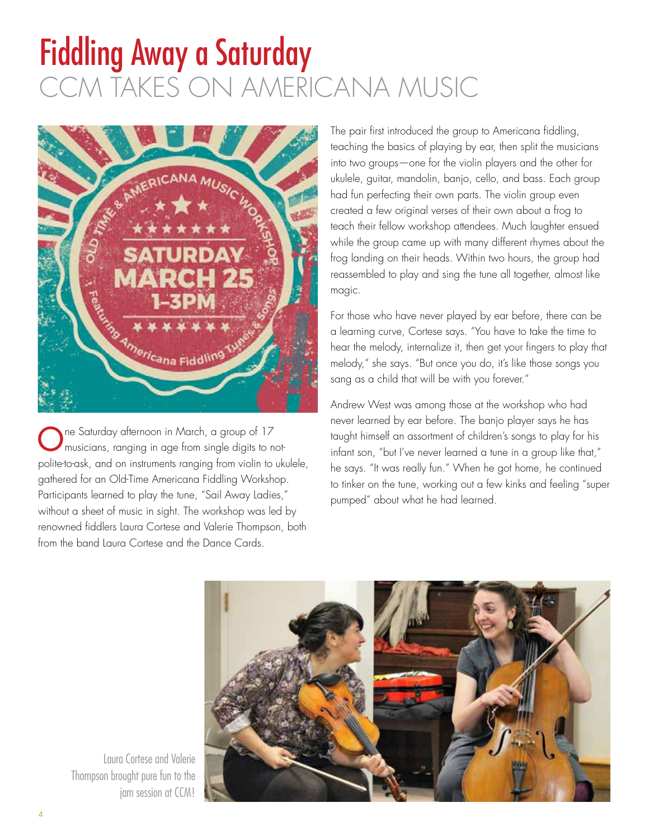## Fiddling Away a Saturday CCM TAKES ON AMERICANA MUSIC



One Saturday afternoon in March, a group of 17 musicians, ranging in age from single digits to notpolite-to-ask, and on instruments ranging from violin to ukulele, gathered for an Old-Time Americana Fiddling Workshop. Participants learned to play the tune, "Sail Away Ladies," without a sheet of music in sight. The workshop was led by renowned fiddlers Laura Cortese and Valerie Thompson, both from the band Laura Cortese and the Dance Cards.

The pair first introduced the group to Americana fiddling, teaching the basics of playing by ear, then split the musicians into two groups—one for the violin players and the other for ukulele, guitar, mandolin, banjo, cello, and bass. Each group had fun perfecting their own parts. The violin group even created a few original verses of their own about a frog to teach their fellow workshop attendees. Much laughter ensued while the group came up with many different rhymes about the frog landing on their heads. Within two hours, the group had reassembled to play and sing the tune all together, almost like magic.

For those who have never played by ear before, there can be a learning curve, Cortese says. "You have to take the time to hear the melody, internalize it, then get your fingers to play that melody," she says. "But once you do, it's like those songs you sang as a child that will be with you forever."

Andrew West was among those at the workshop who had never learned by ear before. The banjo player says he has taught himself an assortment of children's songs to play for his infant son, "but I've never learned a tune in a group like that," he says. "It was really fun." When he got home, he continued to tinker on the tune, working out a few kinks and feeling "super pumped" about what he had learned.



Laura Cortese and Valerie Thompson brought pure fun to the jam session at CCM!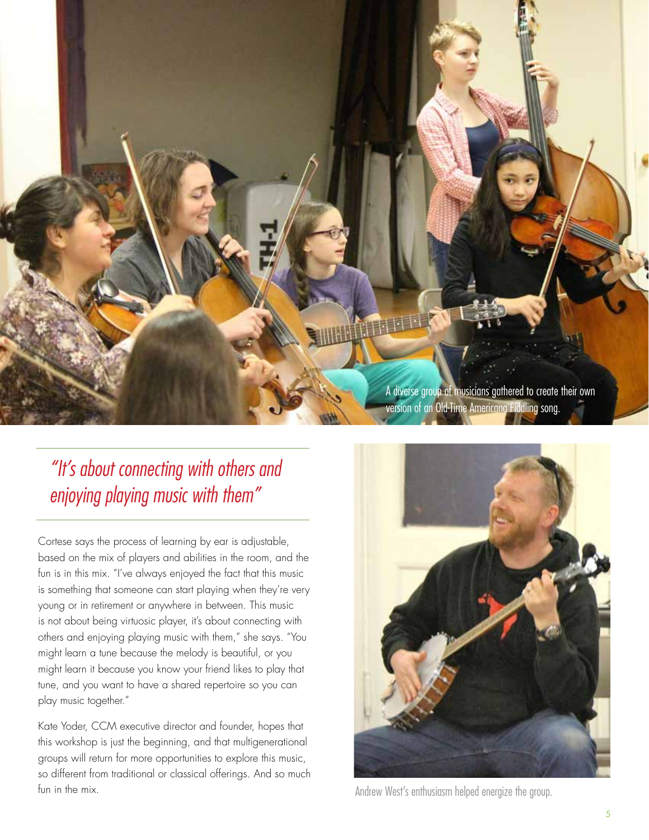

*"It's about connecting with others and enjoying playing music with them"*

Cortese says the process of learning by ear is adjustable, based on the mix of players and abilities in the room, and the fun is in this mix. "I've always enjoyed the fact that this music is something that someone can start playing when they're very young or in retirement or anywhere in between. This music is not about being virtuosic player, it's about connecting with others and enjoying playing music with them," she says. "You might learn a tune because the melody is beautiful, or you might learn it because you know your friend likes to play that tune, and you want to have a shared repertoire so you can play music together."

Kate Yoder, CCM executive director and founder, hopes that this workshop is just the beginning, and that multigenerational groups will return for more opportunities to explore this music, so different from traditional or classical offerings. And so much fun in the mix.



Andrew West's enthusiasm helped energize the group.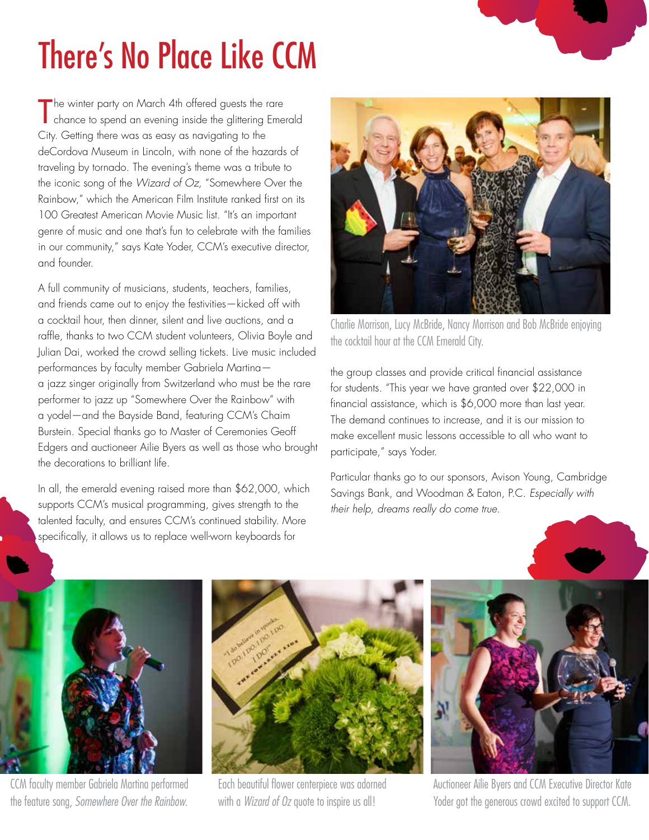## There's No Place Like CCM

The winter party on March 4th offered guests the rare<br>Chance to spend an evening inside the glittering Emer chance to spend an evening inside the glittering Emerald City. Getting there was as easy as navigating to the deCordova Museum in Lincoln, with none of the hazards of traveling by tornado. The evening's theme was a tribute to the iconic song of the *Wizard of Oz,* "Somewhere Over the Rainbow," which the American Film Institute ranked first on its 100 Greatest American Movie Music list. "It's an important genre of music and one that's fun to celebrate with the families in our community," says Kate Yoder, CCM's executive director, and founder.

A full community of musicians, students, teachers, families, and friends came out to enjoy the festivities—kicked off with a cocktail hour, then dinner, silent and live auctions, and a raffle, thanks to two CCM student volunteers, Olivia Boyle and Julian Dai, worked the crowd selling tickets. Live music included performances by faculty member Gabriela Martina a jazz singer originally from Switzerland who must be the rare performer to jazz up "Somewhere Over the Rainbow" with a yodel—and the Bayside Band, featuring CCM's Chaim Burstein. Special thanks go to Master of Ceremonies Geoff Edgers and auctioneer Ailie Byers as well as those who brought the decorations to brilliant life.

In all, the emerald evening raised more than \$62,000, which supports CCM's musical programming, gives strength to the talented faculty, and ensures CCM's continued stability. More specifically, it allows us to replace well-worn keyboards for



Charlie Morrison, Lucy McBride, Nancy Morrison and Bob McBride enjoying the cocktail hour at the CCM Emerald City.

the group classes and provide critical financial assistance for students. "This year we have granted over \$22,000 in financial assistance, which is \$6,000 more than last year. The demand continues to increase, and it is our mission to make excellent music lessons accessible to all who want to participate," says Yoder.

Particular thanks go to our sponsors, Avison Young, Cambridge Savings Bank, and Woodman & Eaton, P.C. *Especially with their help, dreams really do come true.*



CCM faculty member Gabriela Martina performed the feature song, *Somewhere Over the Rainbow.*



Each beautiful flower centerpiece was adorned with a *Wizard of Oz* quote to inspire us all!



Auctioneer Ailie Byers and CCM Executive Director Kate Yoder got the generous crowd excited to support CCM.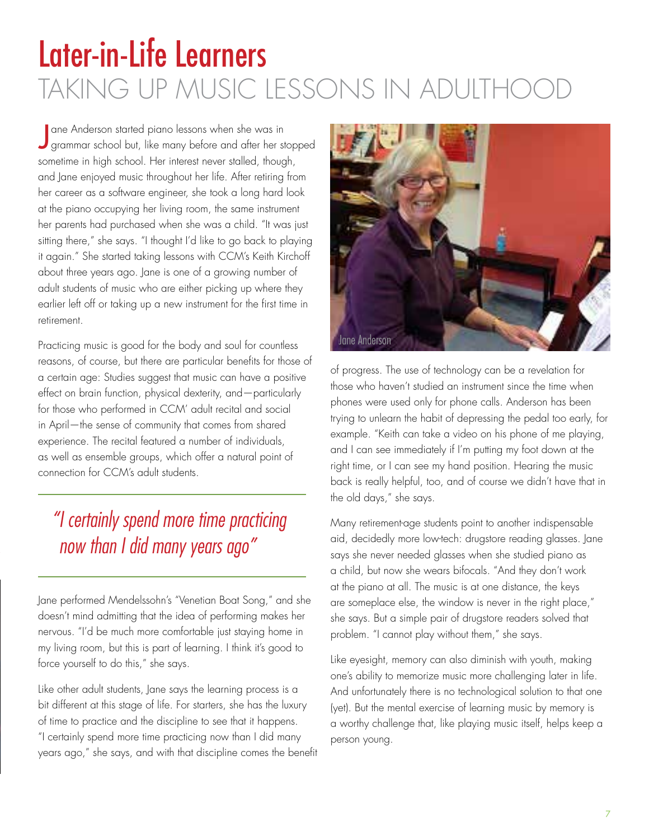## Later-in-Life Learners TAKING UP MUSIC LESSONS IN ADULTHO

J ane Anderson started piano lessons when she was in grammar school but, like many before and after her stopped sometime in high school. Her interest never stalled, though, and Jane enjoyed music throughout her life. After retiring from her career as a software engineer, she took a long hard look at the piano occupying her living room, the same instrument her parents had purchased when she was a child. "It was just sitting there," she says. "I thought I'd like to go back to playing it again." She started taking lessons with CCM's Keith Kirchoff about three years ago. Jane is one of a growing number of adult students of music who are either picking up where they earlier left off or taking up a new instrument for the first time in retirement.

Practicing music is good for the body and soul for countless reasons, of course, but there are particular benefits for those of a certain age: Studies suggest that music can have a positive effect on brain function, physical dexterity, and—particularly for those who performed in CCM' adult recital and social in April—the sense of community that comes from shared experience. The recital featured a number of individuals, as well as ensemble groups, which offer a natural point of connection for CCM's adult students.

### *"I certainly spend more time practicing now than I did many years ago"*

Jane performed Mendelssohn's "Venetian Boat Song," and she doesn't mind admitting that the idea of performing makes her nervous. "I'd be much more comfortable just staying home in my living room, but this is part of learning. I think it's good to force yourself to do this," she says.

Like other adult students, Jane says the learning process is a bit different at this stage of life. For starters, she has the luxury of time to practice and the discipline to see that it happens. "I certainly spend more time practicing now than I did many years ago," she says, and with that discipline comes the benefit



of progress. The use of technology can be a revelation for those who haven't studied an instrument since the time when phones were used only for phone calls. Anderson has been trying to unlearn the habit of depressing the pedal too early, for example. "Keith can take a video on his phone of me playing, and I can see immediately if I'm putting my foot down at the right time, or I can see my hand position. Hearing the music back is really helpful, too, and of course we didn't have that in the old days," she says.

Many retirement-age students point to another indispensable aid, decidedly more low-tech: drugstore reading glasses. Jane says she never needed glasses when she studied piano as a child, but now she wears bifocals. "And they don't work at the piano at all. The music is at one distance, the keys are someplace else, the window is never in the right place," she says. But a simple pair of drugstore readers solved that problem. "I cannot play without them," she says.

Like eyesight, memory can also diminish with youth, making one's ability to memorize music more challenging later in life. And unfortunately there is no technological solution to that one (yet). But the mental exercise of learning music by memory is a worthy challenge that, like playing music itself, helps keep a person young.